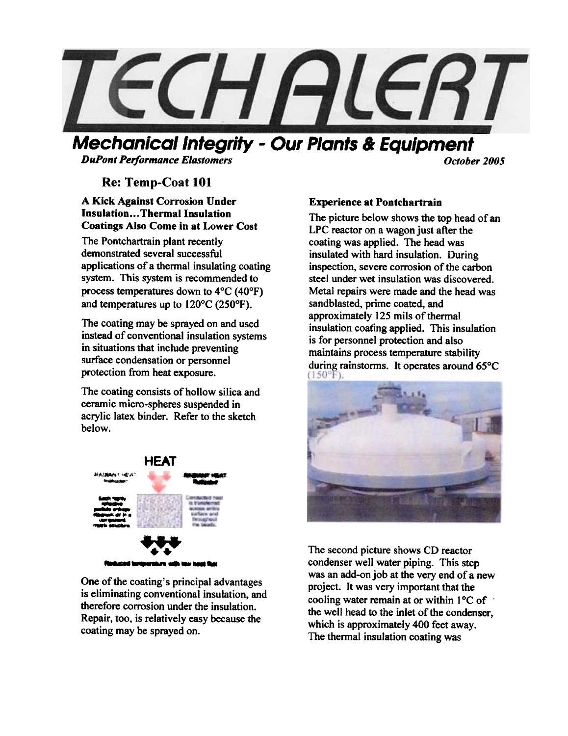

# Mechanical Integrity - Our Plants & Equipment

**DuPont Performance Elastomers Contact Contact Contact Contact Contact Contact Contact Contact Contact Contact Contact Contact Contact Contact Contact Contact Contact Contact Contact Contact Contact Contact Contact Conta** 

# Re: Temp-Coat 101

#### A Kick Against Corrosion Under Insulation...Thermal Insulation Coatings Also Come in at Lower Cost

The Pontchartrain plant recently demonstrated several successful applications of a thermal insulating coating system. This system is recommended to process temperatures down to 4°C (40°F) and temperatures up to 120°C (250°F).

The coating may be sprayed on and used instead of conventional insulation systems in situations that include preventing surface condensation or personnel protection from heat exposure.

The coating consists of hollow silica and ceramic micro-spheres suspended in acrylic latex binder. Refer to the sketch below.



One of the coating's principal advantages is eliminating conventional insulation, and therefore corrosion under the insulation. Repair, too, is relatively easy because the coating may be sprayed on.

## Experience at Pontchartrain

The picture below shows the top head of an LPC reactor on a wagon just after the coating was applied. The head was insulated with hard insulation. During inspection. severe corrosion of the carbon steel under wet insulation was discovered. Metal repairs were made and the head was sandblasted. prime coated. and approximately 125 mils of thermal insulation coating applied. This insulation is for personnel protection and also maintains process temperature stability during rainstorms. It operates around 65°C<br>(150°F).



The second picture shows CD reactor condenser well water piping. This step was an add-on job at the very end of a new project. It was very important that the cooling water remain at or within  $1^{\circ}$ C of  $\cdot$ the well head to the inlet of the condenser, which is approximately 400 feet away. The thermal insulation coating was